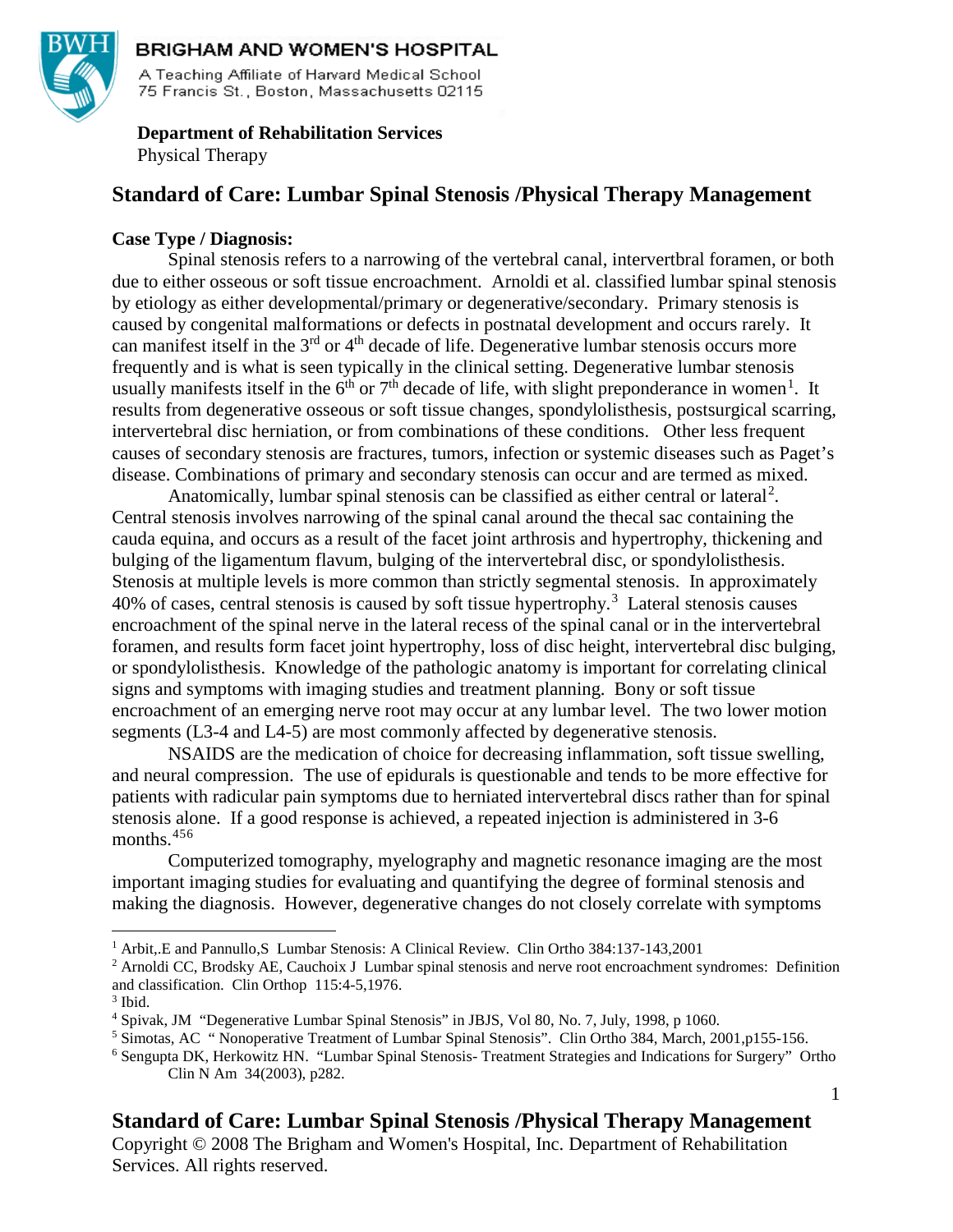

#### **BRIGHAM AND WOMEN'S HOSPITAL**

A Teaching Affiliate of Harvard Medical School 75 Francis St., Boston, Massachusetts 02115

# **Department of Rehabilitation Services**

Physical Therapy

# **Standard of Care: Lumbar Spinal Stenosis /Physical Therapy Management**

#### **Case Type / Diagnosis:**

Spinal stenosis refers to a narrowing of the vertebral canal, intervertbral foramen, or both due to either osseous or soft tissue encroachment. Arnoldi et al. classified lumbar spinal stenosis by etiology as either developmental/primary or degenerative/secondary. Primary stenosis is caused by congenital malformations or defects in postnatal development and occurs rarely. It can manifest itself in the  $3<sup>rd</sup>$  or  $4<sup>th</sup>$  decade of life. Degenerative lumbar stenosis occurs more frequently and is what is seen typically in the clinical setting. Degenerative lumbar stenosis usually manifests itself in the  $6<sup>th</sup>$  or  $7<sup>th</sup>$  decade of life, with slight preponderance in women<sup>[1](#page-0-0)</sup>. It results from degenerative osseous or soft tissue changes, spondylolisthesis, postsurgical scarring, intervertebral disc herniation, or from combinations of these conditions. Other less frequent causes of secondary stenosis are fractures, tumors, infection or systemic diseases such as Paget's disease. Combinations of primary and secondary stenosis can occur and are termed as mixed.

Anatomically, lumbar spinal stenosis can be classified as either central or lateral<sup>[2](#page-0-1)</sup>. Central stenosis involves narrowing of the spinal canal around the thecal sac containing the cauda equina, and occurs as a result of the facet joint arthrosis and hypertrophy, thickening and bulging of the ligamentum flavum, bulging of the intervertebral disc, or spondylolisthesis. Stenosis at multiple levels is more common than strictly segmental stenosis. In approximately  $40\%$  of cases, central stenosis is caused by soft tissue hypertrophy.<sup>[3](#page-0-2)</sup> Lateral stenosis causes encroachment of the spinal nerve in the lateral recess of the spinal canal or in the intervertebral foramen, and results form facet joint hypertrophy, loss of disc height, intervertebral disc bulging, or spondylolisthesis. Knowledge of the pathologic anatomy is important for correlating clinical signs and symptoms with imaging studies and treatment planning. Bony or soft tissue encroachment of an emerging nerve root may occur at any lumbar level. The two lower motion segments (L3-4 and L4-5) are most commonly affected by degenerative stenosis.

NSAIDS are the medication of choice for decreasing inflammation, soft tissue swelling, and neural compression. The use of epidurals is questionable and tends to be more effective for patients with radicular pain symptoms due to herniated intervertebral discs rather than for spinal stenosis alone. If a good response is achieved, a repeated injection is administered in 3-6 months.<sup>[4](#page-0-3)[5](#page-0-4)[6](#page-0-5)</sup>

Computerized tomography, myelography and magnetic resonance imaging are the most important imaging studies for evaluating and quantifying the degree of forminal stenosis and making the diagnosis. However, degenerative changes do not closely correlate with symptoms

1

# **Standard of Care: Lumbar Spinal Stenosis /Physical Therapy Management**

<span id="page-0-0"></span> <sup>1</sup> Arbit,.E and Pannullo,S Lumbar Stenosis: A Clinical Review. Clin Ortho 384:137-143,2001

<span id="page-0-1"></span><sup>&</sup>lt;sup>2</sup> Arnoldi CC, Brodsky AE, Cauchoix J Lumbar spinal stenosis and nerve root encroachment syndromes: Definition and classification. Clin Orthop 115:4-5,1976.

<span id="page-0-2"></span><sup>3</sup> Ibid.

<span id="page-0-3"></span><sup>4</sup> Spivak, JM "Degenerative Lumbar Spinal Stenosis" in JBJS, Vol 80, No. 7, July, 1998, p 1060.

<span id="page-0-4"></span><sup>5</sup> Simotas, AC " Nonoperative Treatment of Lumbar Spinal Stenosis". Clin Ortho 384, March, 2001,p155-156.

<span id="page-0-5"></span><sup>6</sup> Sengupta DK, Herkowitz HN. "Lumbar Spinal Stenosis- Treatment Strategies and Indications for Surgery" Ortho Clin N Am 34(2003), p282.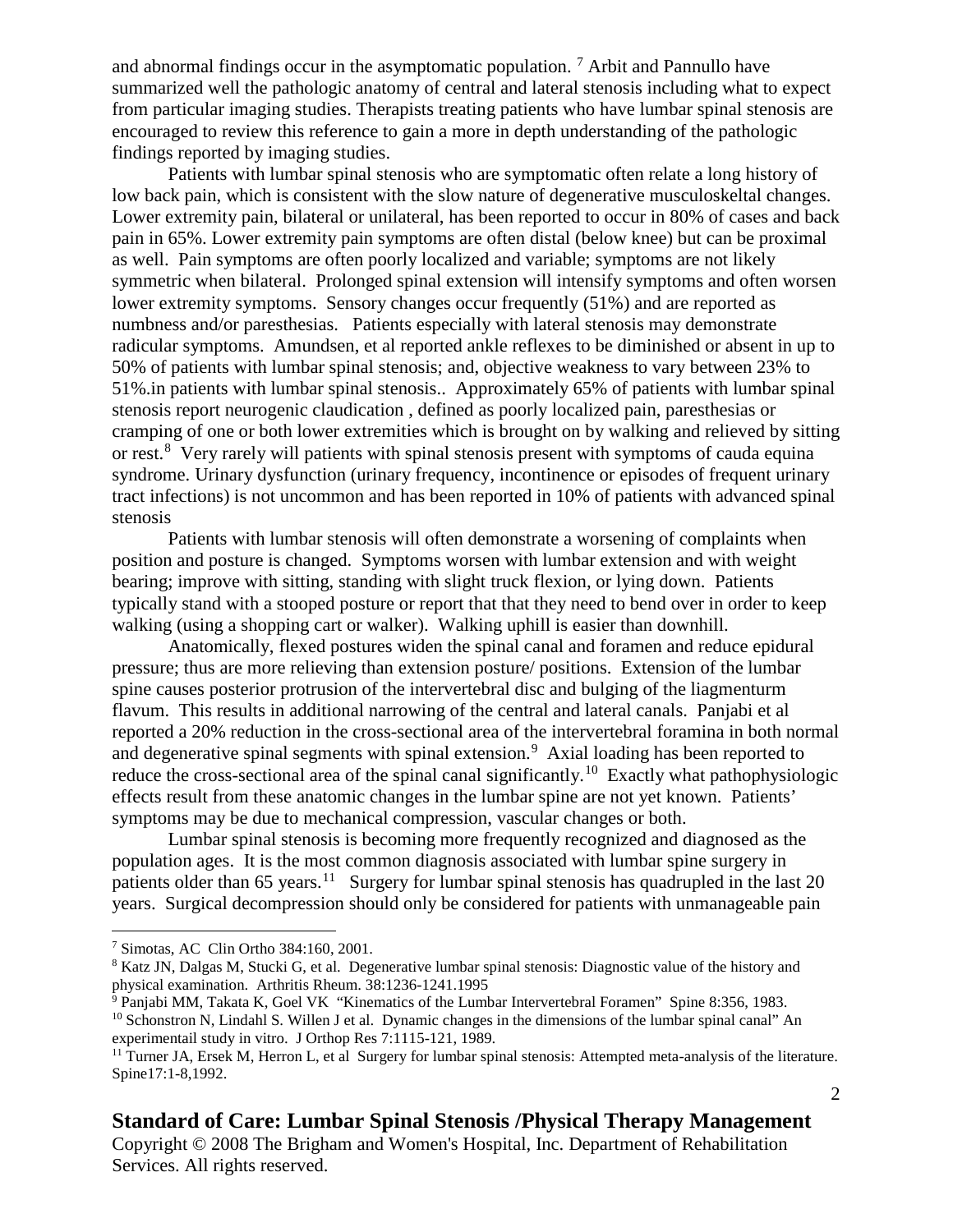and abnormal findings occur in the asymptomatic population.  $\frac{7}{1}$  $\frac{7}{1}$  $\frac{7}{1}$  Arbit and Pannullo have summarized well the pathologic anatomy of central and lateral stenosis including what to expect from particular imaging studies. Therapists treating patients who have lumbar spinal stenosis are encouraged to review this reference to gain a more in depth understanding of the pathologic findings reported by imaging studies.

Patients with lumbar spinal stenosis who are symptomatic often relate a long history of low back pain, which is consistent with the slow nature of degenerative musculoskeltal changes. Lower extremity pain, bilateral or unilateral, has been reported to occur in 80% of cases and back pain in 65%. Lower extremity pain symptoms are often distal (below knee) but can be proximal as well. Pain symptoms are often poorly localized and variable; symptoms are not likely symmetric when bilateral. Prolonged spinal extension will intensify symptoms and often worsen lower extremity symptoms. Sensory changes occur frequently (51%) and are reported as numbness and/or paresthesias. Patients especially with lateral stenosis may demonstrate radicular symptoms. Amundsen, et al reported ankle reflexes to be diminished or absent in up to 50% of patients with lumbar spinal stenosis; and, objective weakness to vary between 23% to 51%.in patients with lumbar spinal stenosis.. Approximately 65% of patients with lumbar spinal stenosis report neurogenic claudication , defined as poorly localized pain, paresthesias or cramping of one or both lower extremities which is brought on by walking and relieved by sitting or rest.<sup>[8](#page-1-1)</sup> Very rarely will patients with spinal stenosis present with symptoms of cauda equina syndrome. Urinary dysfunction (urinary frequency, incontinence or episodes of frequent urinary tract infections) is not uncommon and has been reported in 10% of patients with advanced spinal stenosis

Patients with lumbar stenosis will often demonstrate a worsening of complaints when position and posture is changed. Symptoms worsen with lumbar extension and with weight bearing; improve with sitting, standing with slight truck flexion, or lying down. Patients typically stand with a stooped posture or report that that they need to bend over in order to keep walking (using a shopping cart or walker). Walking uphill is easier than downhill.

Anatomically, flexed postures widen the spinal canal and foramen and reduce epidural pressure; thus are more relieving than extension posture/ positions. Extension of the lumbar spine causes posterior protrusion of the intervertebral disc and bulging of the liagmenturm flavum. This results in additional narrowing of the central and lateral canals. Panjabi et al reported a 20% reduction in the cross-sectional area of the intervertebral foramina in both normal and degenerative spinal segments with spinal extension.<sup>[9](#page-1-2)</sup> Axial loading has been reported to reduce the cross-sectional area of the spinal canal significantly.<sup>[10](#page-1-3)</sup> Exactly what pathophysiologic effects result from these anatomic changes in the lumbar spine are not yet known. Patients' symptoms may be due to mechanical compression, vascular changes or both.

Lumbar spinal stenosis is becoming more frequently recognized and diagnosed as the population ages. It is the most common diagnosis associated with lumbar spine surgery in patients older than 65 years.<sup>11</sup> Surgery for lumbar spinal stenosis has quadrupled in the last 20 years. Surgical decompression should only be considered for patients with unmanageable pain

#### **Standard of Care: Lumbar Spinal Stenosis /Physical Therapy Management**

<span id="page-1-0"></span> <sup>7</sup> Simotas, AC Clin Ortho 384:160, 2001.

<span id="page-1-1"></span><sup>&</sup>lt;sup>8</sup> Katz JN, Dalgas M, Stucki G, et al. Degenerative lumbar spinal stenosis: Diagnostic value of the history and physical examination. Arthritis Rheum. 38:1236-1241.1995

<span id="page-1-3"></span><span id="page-1-2"></span> $9$  Panjabi MM, Takata K, Goel VK "Kinematics of the Lumbar Intervertebral Foramen" Spine 8:356, 1983. <sup>10</sup> Schonstron N, Lindahl S. Willen J et al. Dynamic changes in the dimensions of the lumbar spinal canal" An experimentail study in vitro. J Orthop Res 7:1115-121, 1989.

<span id="page-1-4"></span><sup>&</sup>lt;sup>11</sup> Turner JA, Ersek M, Herron L, et al Surgery for lumbar spinal stenosis: Attempted meta-analysis of the literature. Spine17:1-8,1992.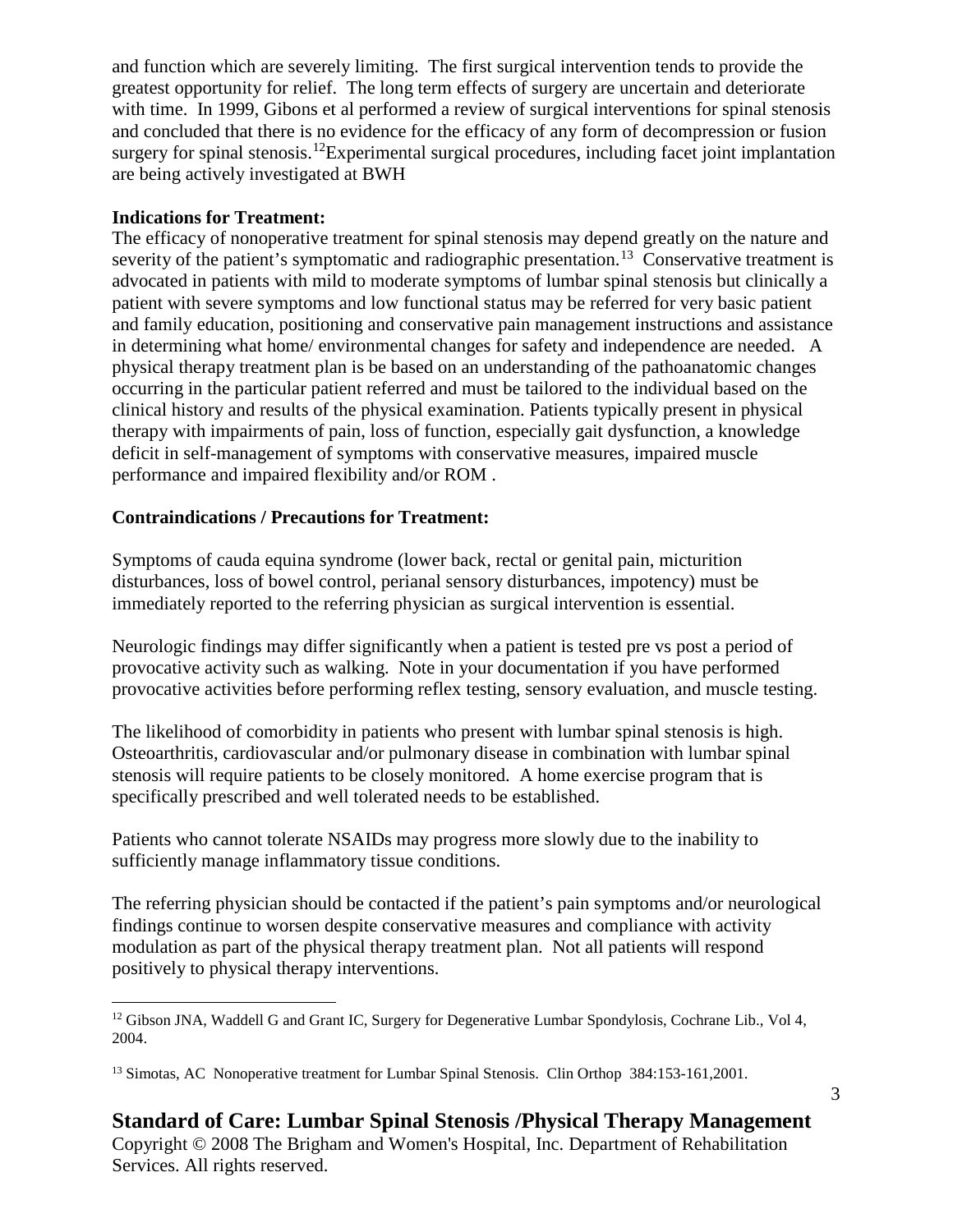and function which are severely limiting. The first surgical intervention tends to provide the greatest opportunity for relief. The long term effects of surgery are uncertain and deteriorate with time. In 1999, Gibons et al performed a review of surgical interventions for spinal stenosis and concluded that there is no evidence for the efficacy of any form of decompression or fusion surgery for spinal stenosis.<sup>[12](#page-2-0)</sup>Experimental surgical procedures, including facet joint implantation are being actively investigated at BWH

#### **Indications for Treatment:**

The efficacy of nonoperative treatment for spinal stenosis may depend greatly on the nature and severity of the patient's symptomatic and radiographic presentation.<sup>[13](#page-2-1)</sup> Conservative treatment is advocated in patients with mild to moderate symptoms of lumbar spinal stenosis but clinically a patient with severe symptoms and low functional status may be referred for very basic patient and family education, positioning and conservative pain management instructions and assistance in determining what home/ environmental changes for safety and independence are needed. A physical therapy treatment plan is be based on an understanding of the pathoanatomic changes occurring in the particular patient referred and must be tailored to the individual based on the clinical history and results of the physical examination. Patients typically present in physical therapy with impairments of pain, loss of function, especially gait dysfunction, a knowledge deficit in self-management of symptoms with conservative measures, impaired muscle performance and impaired flexibility and/or ROM .

#### **Contraindications / Precautions for Treatment:**

Symptoms of cauda equina syndrome (lower back, rectal or genital pain, micturition disturbances, loss of bowel control, perianal sensory disturbances, impotency) must be immediately reported to the referring physician as surgical intervention is essential.

Neurologic findings may differ significantly when a patient is tested pre vs post a period of provocative activity such as walking. Note in your documentation if you have performed provocative activities before performing reflex testing, sensory evaluation, and muscle testing.

The likelihood of comorbidity in patients who present with lumbar spinal stenosis is high. Osteoarthritis, cardiovascular and/or pulmonary disease in combination with lumbar spinal stenosis will require patients to be closely monitored. A home exercise program that is specifically prescribed and well tolerated needs to be established.

Patients who cannot tolerate NSAIDs may progress more slowly due to the inability to sufficiently manage inflammatory tissue conditions.

The referring physician should be contacted if the patient's pain symptoms and/or neurological findings continue to worsen despite conservative measures and compliance with activity modulation as part of the physical therapy treatment plan. Not all patients will respond positively to physical therapy interventions.

<span id="page-2-0"></span><sup>&</sup>lt;sup>12</sup> Gibson JNA, Waddell G and Grant IC, Surgery for Degenerative Lumbar Spondylosis, Cochrane Lib., Vol 4, 2004.

<span id="page-2-1"></span><sup>&</sup>lt;sup>13</sup> Simotas, AC Nonoperative treatment for Lumbar Spinal Stenosis. Clin Orthop 384:153-161,2001.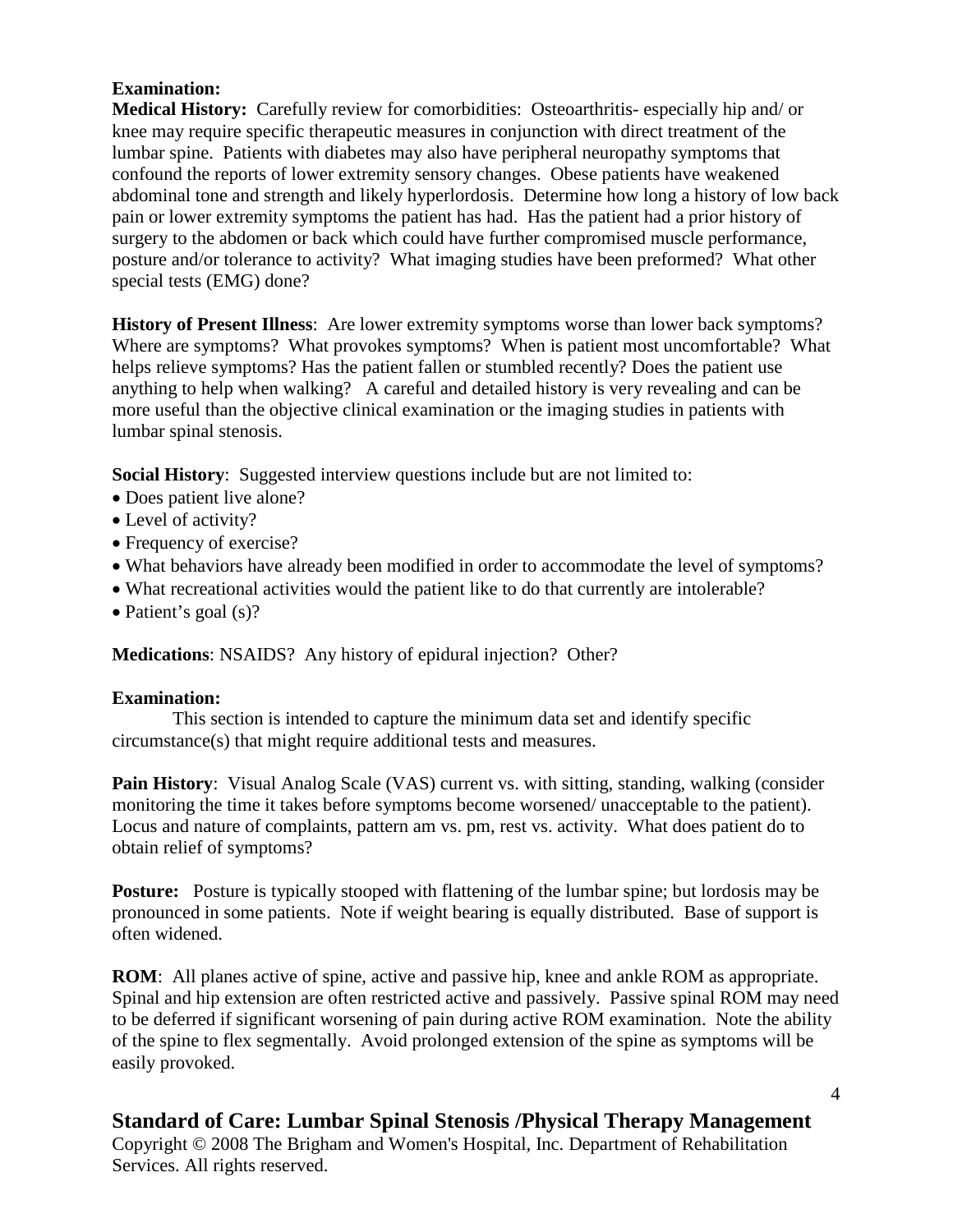### **Examination:**

**Medical History:** Carefully review for comorbidities: Osteoarthritis- especially hip and/ or knee may require specific therapeutic measures in conjunction with direct treatment of the lumbar spine. Patients with diabetes may also have peripheral neuropathy symptoms that confound the reports of lower extremity sensory changes. Obese patients have weakened abdominal tone and strength and likely hyperlordosis. Determine how long a history of low back pain or lower extremity symptoms the patient has had. Has the patient had a prior history of surgery to the abdomen or back which could have further compromised muscle performance, posture and/or tolerance to activity? What imaging studies have been preformed? What other special tests (EMG) done?

**History of Present Illness**: Are lower extremity symptoms worse than lower back symptoms? Where are symptoms? What provokes symptoms? When is patient most uncomfortable? What helps relieve symptoms? Has the patient fallen or stumbled recently? Does the patient use anything to help when walking? A careful and detailed history is very revealing and can be more useful than the objective clinical examination or the imaging studies in patients with lumbar spinal stenosis.

**Social History:** Suggested interview questions include but are not limited to:

- Does patient live alone?
- Level of activity?
- Frequency of exercise?
- What behaviors have already been modified in order to accommodate the level of symptoms?
- What recreational activities would the patient like to do that currently are intolerable?
- Patient's goal (s)?

**Medications**: NSAIDS? Any history of epidural injection? Other?

### **Examination:**

 This section is intended to capture the minimum data set and identify specific circumstance(s) that might require additional tests and measures.

**Pain History:** Visual Analog Scale (VAS) current vs. with sitting, standing, walking (consider monitoring the time it takes before symptoms become worsened/ unacceptable to the patient). Locus and nature of complaints, pattern am vs. pm, rest vs. activity. What does patient do to obtain relief of symptoms?

**Posture:** Posture is typically stooped with flattening of the lumbar spine; but lordosis may be pronounced in some patients. Note if weight bearing is equally distributed. Base of support is often widened.

**ROM**: All planes active of spine, active and passive hip, knee and ankle ROM as appropriate. Spinal and hip extension are often restricted active and passively. Passive spinal ROM may need to be deferred if significant worsening of pain during active ROM examination. Note the ability of the spine to flex segmentally. Avoid prolonged extension of the spine as symptoms will be easily provoked.

4

# **Standard of Care: Lumbar Spinal Stenosis /Physical Therapy Management**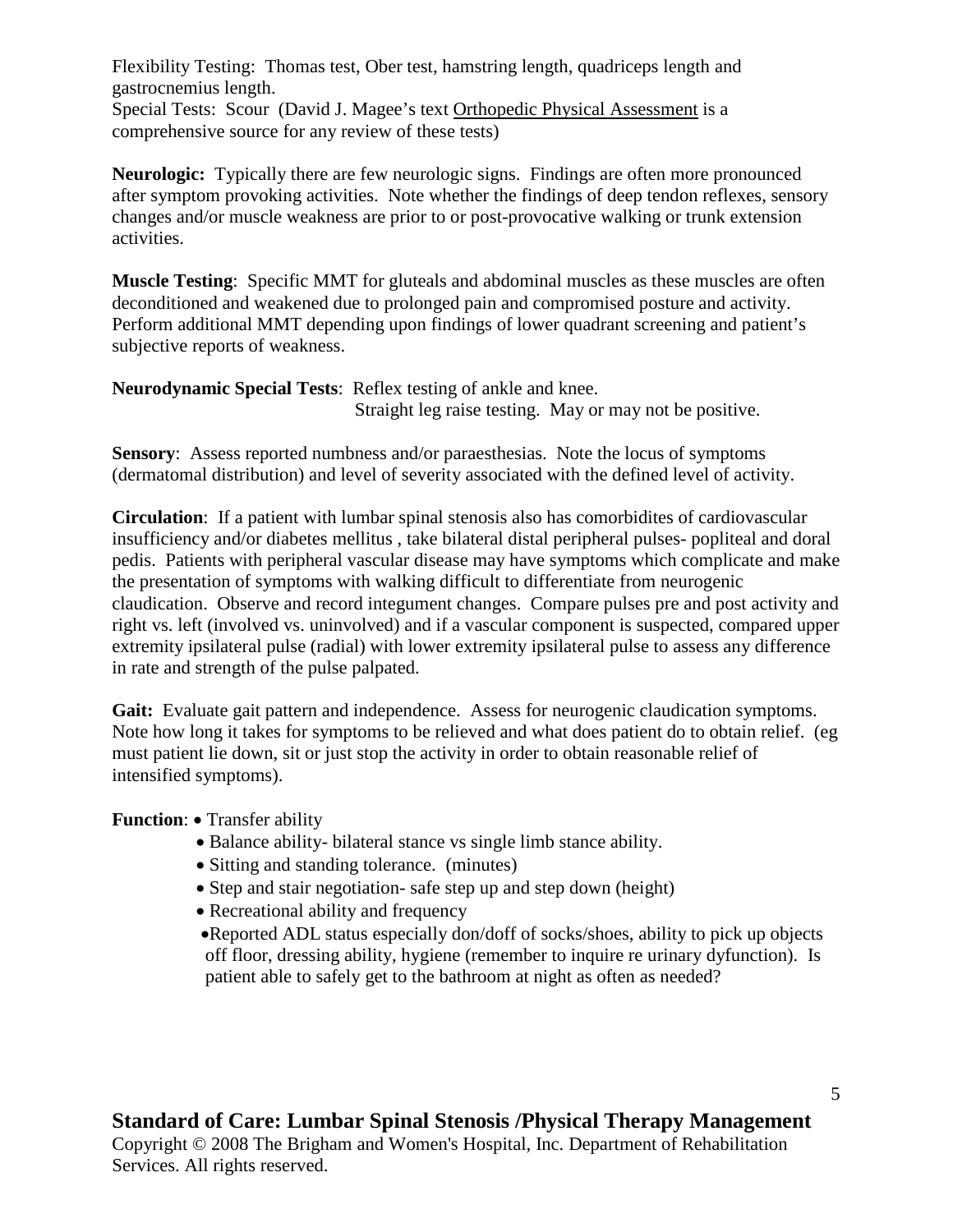Flexibility Testing: Thomas test, Ober test, hamstring length, quadriceps length and gastrocnemius length.

Special Tests: Scour (David J. Magee's text Orthopedic Physical Assessment is a comprehensive source for any review of these tests)

**Neurologic:** Typically there are few neurologic signs. Findings are often more pronounced after symptom provoking activities. Note whether the findings of deep tendon reflexes, sensory changes and/or muscle weakness are prior to or post-provocative walking or trunk extension activities.

**Muscle Testing**: Specific MMT for gluteals and abdominal muscles as these muscles are often deconditioned and weakened due to prolonged pain and compromised posture and activity. Perform additional MMT depending upon findings of lower quadrant screening and patient's subjective reports of weakness.

**Neurodynamic Special Tests**: Reflex testing of ankle and knee. Straight leg raise testing. May or may not be positive.

**Sensory**: Assess reported numbness and/or paraesthesias. Note the locus of symptoms (dermatomal distribution) and level of severity associated with the defined level of activity.

**Circulation**: If a patient with lumbar spinal stenosis also has comorbidites of cardiovascular insufficiency and/or diabetes mellitus , take bilateral distal peripheral pulses- popliteal and doral pedis. Patients with peripheral vascular disease may have symptoms which complicate and make the presentation of symptoms with walking difficult to differentiate from neurogenic claudication. Observe and record integument changes. Compare pulses pre and post activity and right vs. left (involved vs. uninvolved) and if a vascular component is suspected, compared upper extremity ipsilateral pulse (radial) with lower extremity ipsilateral pulse to assess any difference in rate and strength of the pulse palpated.

**Gait:** Evaluate gait pattern and independence. Assess for neurogenic claudication symptoms. Note how long it takes for symptoms to be relieved and what does patient do to obtain relief. (eg must patient lie down, sit or just stop the activity in order to obtain reasonable relief of intensified symptoms).

#### **Function**: • Transfer ability

- Balance ability- bilateral stance vs single limb stance ability.
- Sitting and standing tolerance. (minutes)
- Step and stair negotiation- safe step up and step down (height)
- Recreational ability and frequency
- •Reported ADL status especially don/doff of socks/shoes, ability to pick up objects off floor, dressing ability, hygiene (remember to inquire re urinary dyfunction). Is patient able to safely get to the bathroom at night as often as needed?

# **Standard of Care: Lumbar Spinal Stenosis /Physical Therapy Management**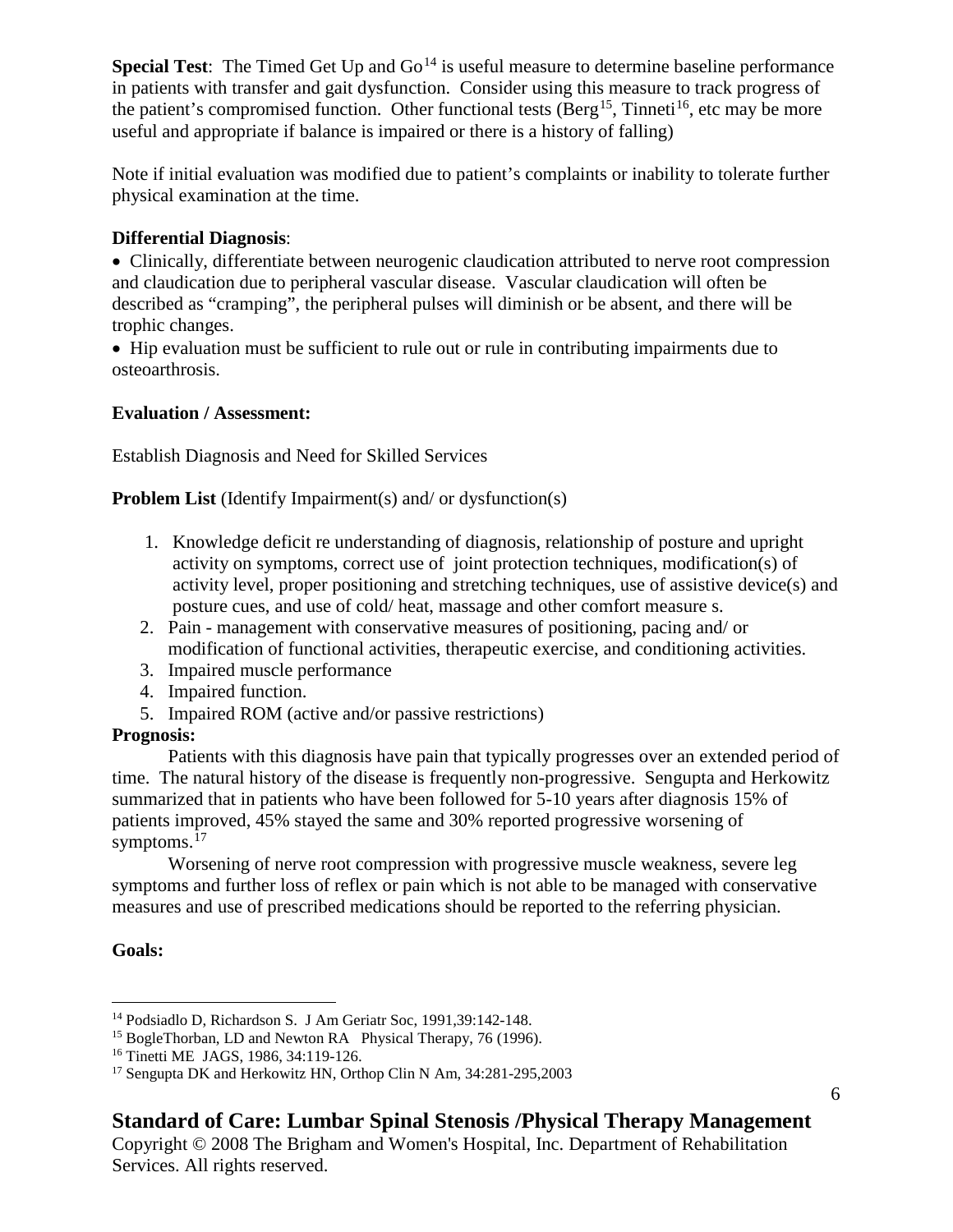**Special Test**: The Timed Get Up and Go<sup>[14](#page-5-0)</sup> is useful measure to determine baseline performance in patients with transfer and gait dysfunction. Consider using this measure to track progress of the patient's compromised function. Other functional tests (Berg<sup>15</sup>, Tinneti<sup>16</sup>, etc may be more useful and appropriate if balance is impaired or there is a history of falling)

Note if initial evaluation was modified due to patient's complaints or inability to tolerate further physical examination at the time.

### **Differential Diagnosis**:

• Clinically, differentiate between neurogenic claudication attributed to nerve root compression and claudication due to peripheral vascular disease. Vascular claudication will often be described as "cramping", the peripheral pulses will diminish or be absent, and there will be trophic changes.

• Hip evaluation must be sufficient to rule out or rule in contributing impairments due to osteoarthrosis.

### **Evaluation / Assessment:**

Establish Diagnosis and Need for Skilled Services

### **Problem List** (Identify Impairment(s) and/ or dysfunction(s)

- 1. Knowledge deficit re understanding of diagnosis, relationship of posture and upright activity on symptoms, correct use of joint protection techniques, modification(s) of activity level, proper positioning and stretching techniques, use of assistive device(s) and posture cues, and use of cold/ heat, massage and other comfort measure s.
- 2. Pain management with conservative measures of positioning, pacing and/ or modification of functional activities, therapeutic exercise, and conditioning activities.
- 3. Impaired muscle performance
- 4. Impaired function.
- 5. Impaired ROM (active and/or passive restrictions)

# **Prognosis:**

Patients with this diagnosis have pain that typically progresses over an extended period of time. The natural history of the disease is frequently non-progressive. Sengupta and Herkowitz summarized that in patients who have been followed for 5-10 years after diagnosis 15% of patients improved, 45% stayed the same and 30% reported progressive worsening of symptoms.<sup>[17](#page-5-3)</sup>

Worsening of nerve root compression with progressive muscle weakness, severe leg symptoms and further loss of reflex or pain which is not able to be managed with conservative measures and use of prescribed medications should be reported to the referring physician.

# **Goals:**

6

<span id="page-5-0"></span> <sup>14</sup> Podsiadlo D, Richardson S. J Am Geriatr Soc, 1991,39:142-148.

<span id="page-5-1"></span><sup>&</sup>lt;sup>15</sup> BogleThorban, LD and Newton RA Physical Therapy, 76 (1996).

<span id="page-5-2"></span><sup>16</sup> Tinetti ME JAGS, 1986, 34:119-126.

<span id="page-5-3"></span><sup>17</sup> Sengupta DK and Herkowitz HN, Orthop Clin N Am, 34:281-295,2003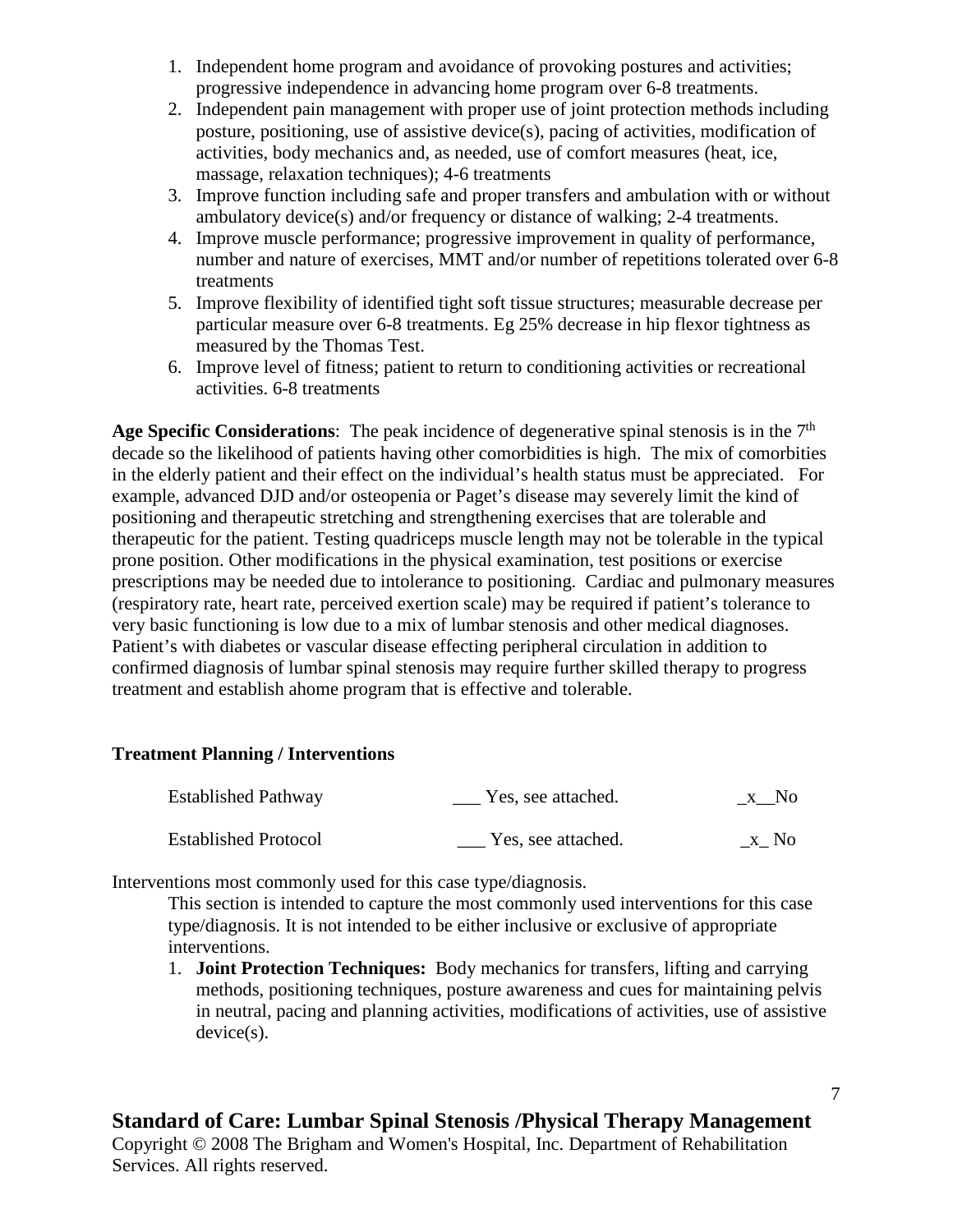- 1. Independent home program and avoidance of provoking postures and activities; progressive independence in advancing home program over 6-8 treatments.
- 2. Independent pain management with proper use of joint protection methods including posture, positioning, use of assistive device(s), pacing of activities, modification of activities, body mechanics and, as needed, use of comfort measures (heat, ice, massage, relaxation techniques); 4-6 treatments
- 3. Improve function including safe and proper transfers and ambulation with or without ambulatory device(s) and/or frequency or distance of walking; 2-4 treatments.
- 4. Improve muscle performance; progressive improvement in quality of performance, number and nature of exercises, MMT and/or number of repetitions tolerated over 6-8 treatments
- 5. Improve flexibility of identified tight soft tissue structures; measurable decrease per particular measure over 6-8 treatments. Eg 25% decrease in hip flexor tightness as measured by the Thomas Test.
- 6. Improve level of fitness; patient to return to conditioning activities or recreational activities. 6-8 treatments

Age Specific Considerations: The peak incidence of degenerative spinal stenosis is in the 7<sup>th</sup> decade so the likelihood of patients having other comorbidities is high. The mix of comorbities in the elderly patient and their effect on the individual's health status must be appreciated. For example, advanced DJD and/or osteopenia or Paget's disease may severely limit the kind of positioning and therapeutic stretching and strengthening exercises that are tolerable and therapeutic for the patient. Testing quadriceps muscle length may not be tolerable in the typical prone position. Other modifications in the physical examination, test positions or exercise prescriptions may be needed due to intolerance to positioning. Cardiac and pulmonary measures (respiratory rate, heart rate, perceived exertion scale) may be required if patient's tolerance to very basic functioning is low due to a mix of lumbar stenosis and other medical diagnoses. Patient's with diabetes or vascular disease effecting peripheral circulation in addition to confirmed diagnosis of lumbar spinal stenosis may require further skilled therapy to progress treatment and establish ahome program that is effective and tolerable.

#### **Treatment Planning / Interventions**

| <b>Established Pathway</b>  | Yes, see attached. | x No |
|-----------------------------|--------------------|------|
| <b>Established Protocol</b> | Yes, see attached. | x No |

Interventions most commonly used for this case type/diagnosis.

This section is intended to capture the most commonly used interventions for this case type/diagnosis. It is not intended to be either inclusive or exclusive of appropriate interventions.

1. **Joint Protection Techniques:** Body mechanics for transfers, lifting and carrying methods, positioning techniques, posture awareness and cues for maintaining pelvis in neutral, pacing and planning activities, modifications of activities, use of assistive device(s).

# **Standard of Care: Lumbar Spinal Stenosis /Physical Therapy Management**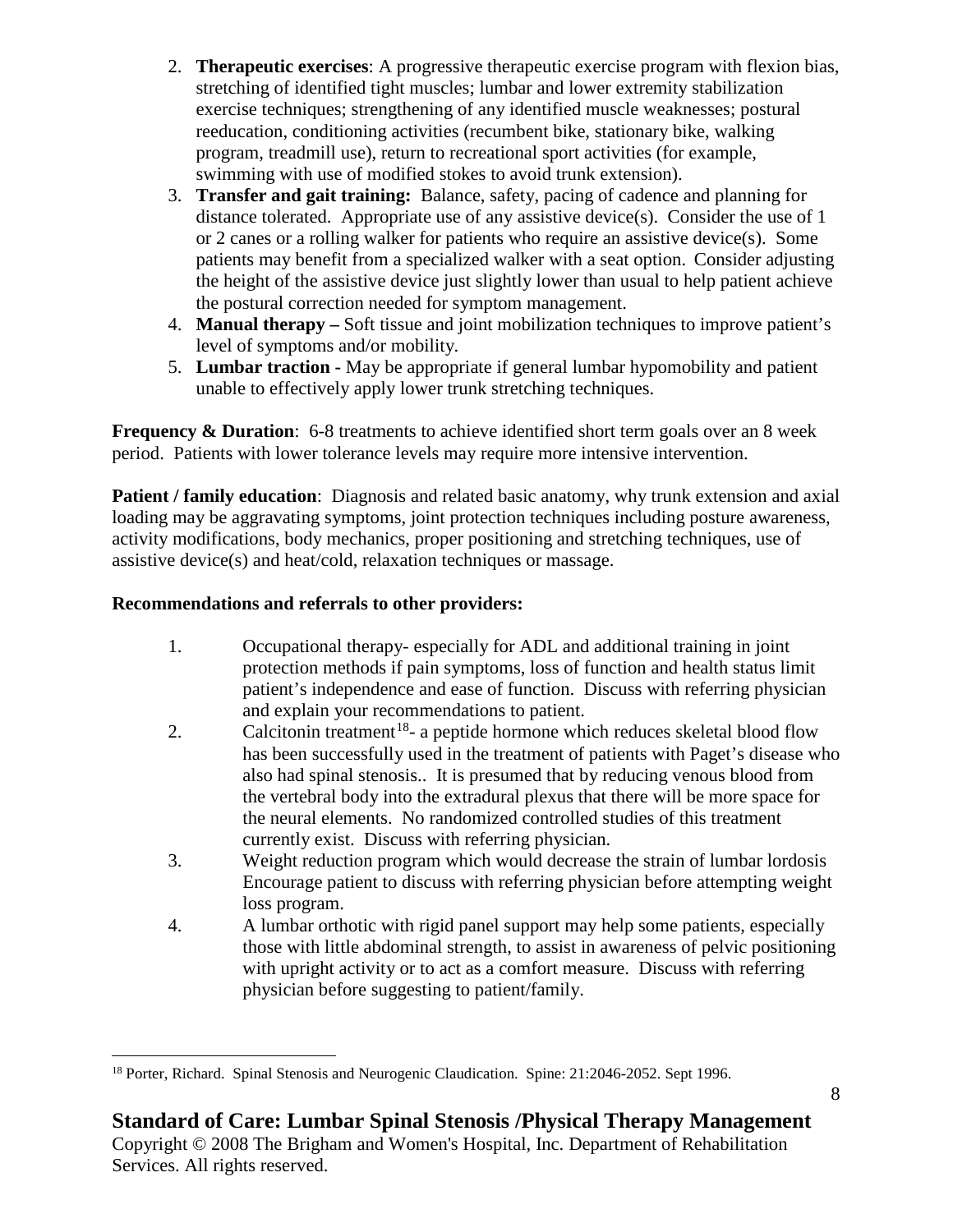- 2. **Therapeutic exercises**: A progressive therapeutic exercise program with flexion bias, stretching of identified tight muscles; lumbar and lower extremity stabilization exercise techniques; strengthening of any identified muscle weaknesses; postural reeducation, conditioning activities (recumbent bike, stationary bike, walking program, treadmill use), return to recreational sport activities (for example, swimming with use of modified stokes to avoid trunk extension).
- 3. **Transfer and gait training:** Balance, safety, pacing of cadence and planning for distance tolerated. Appropriate use of any assistive device(s). Consider the use of 1 or 2 canes or a rolling walker for patients who require an assistive device(s). Some patients may benefit from a specialized walker with a seat option. Consider adjusting the height of the assistive device just slightly lower than usual to help patient achieve the postural correction needed for symptom management.
- 4. **Manual therapy –** Soft tissue and joint mobilization techniques to improve patient's level of symptoms and/or mobility.
- 5. **Lumbar traction -** May be appropriate if general lumbar hypomobility and patient unable to effectively apply lower trunk stretching techniques.

**Frequency & Duration:** 6-8 treatments to achieve identified short term goals over an 8 week period. Patients with lower tolerance levels may require more intensive intervention.

**Patient / family education:** Diagnosis and related basic anatomy, why trunk extension and axial loading may be aggravating symptoms, joint protection techniques including posture awareness, activity modifications, body mechanics, proper positioning and stretching techniques, use of assistive device(s) and heat/cold, relaxation techniques or massage.

# **Recommendations and referrals to other providers:**

Services. All rights reserved.

- 1. Occupational therapy- especially for ADL and additional training in joint protection methods if pain symptoms, loss of function and health status limit patient's independence and ease of function. Discuss with referring physician and explain your recommendations to patient.
- 2. Calcitonin treatment<sup>[18](#page-7-0)</sup>- a peptide hormone which reduces skeletal blood flow has been successfully used in the treatment of patients with Paget's disease who also had spinal stenosis.. It is presumed that by reducing venous blood from the vertebral body into the extradural plexus that there will be more space for the neural elements. No randomized controlled studies of this treatment currently exist. Discuss with referring physician.
- 3. Weight reduction program which would decrease the strain of lumbar lordosis Encourage patient to discuss with referring physician before attempting weight loss program.
- 4. A lumbar orthotic with rigid panel support may help some patients, especially those with little abdominal strength, to assist in awareness of pelvic positioning with upright activity or to act as a comfort measure. Discuss with referring physician before suggesting to patient/family.

<span id="page-7-0"></span><sup>&</sup>lt;sup>18</sup> Porter, Richard. Spinal Stenosis and Neurogenic Claudication. Spine: 21:2046-2052. Sept 1996.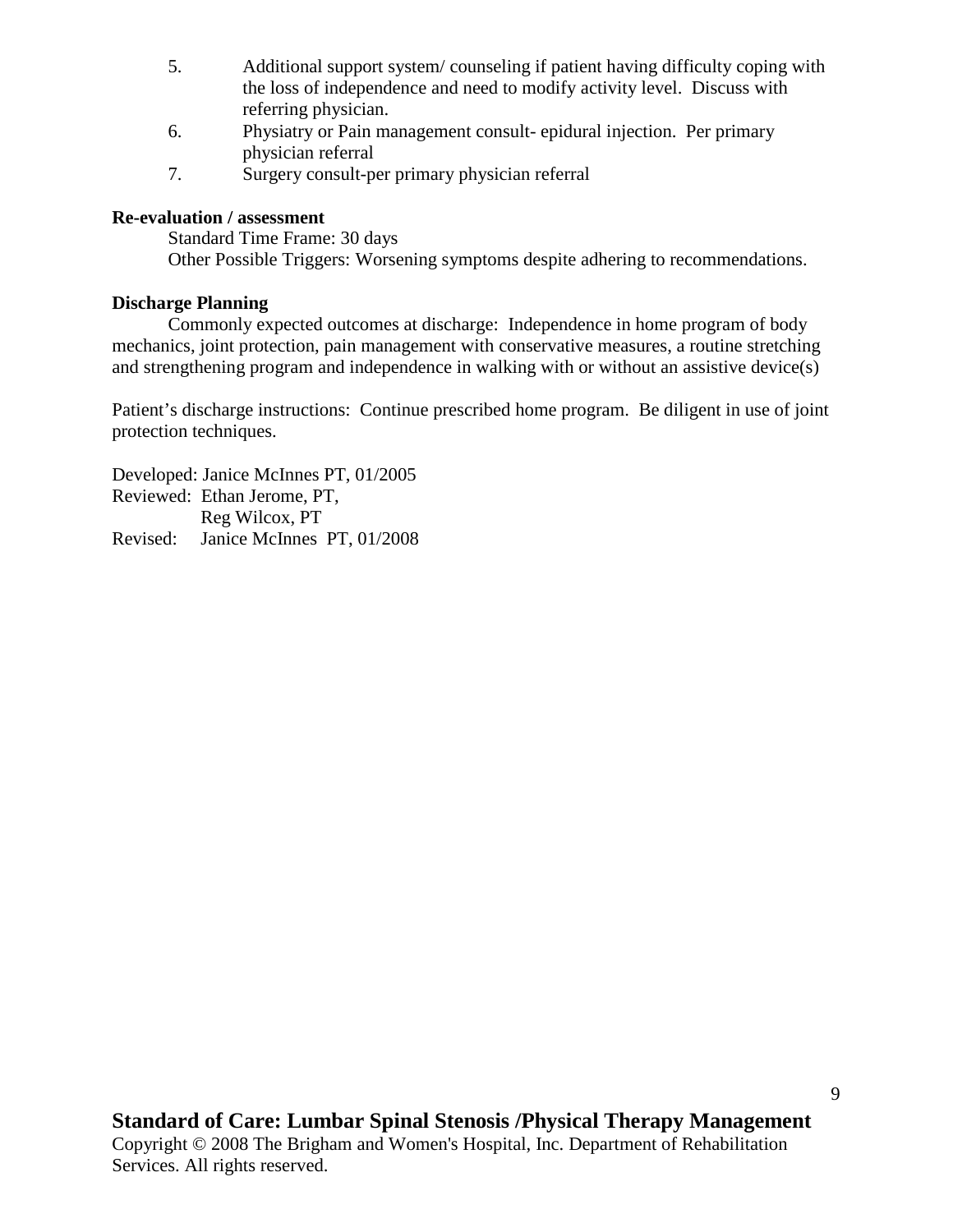- 5. Additional support system/ counseling if patient having difficulty coping with the loss of independence and need to modify activity level. Discuss with referring physician.
- 6. Physiatry or Pain management consult- epidural injection. Per primary physician referral
- 7. Surgery consult-per primary physician referral

### **Re-evaluation / assessment**

Standard Time Frame: 30 days Other Possible Triggers: Worsening symptoms despite adhering to recommendations.

### **Discharge Planning**

Commonly expected outcomes at discharge: Independence in home program of body mechanics, joint protection, pain management with conservative measures, a routine stretching and strengthening program and independence in walking with or without an assistive device(s)

Patient's discharge instructions: Continue prescribed home program. Be diligent in use of joint protection techniques.

Developed: Janice McInnes PT, 01/2005 Reviewed: Ethan Jerome, PT, Reg Wilcox, PT Revised: Janice McInnes PT, 01/2008

Services. All rights reserved.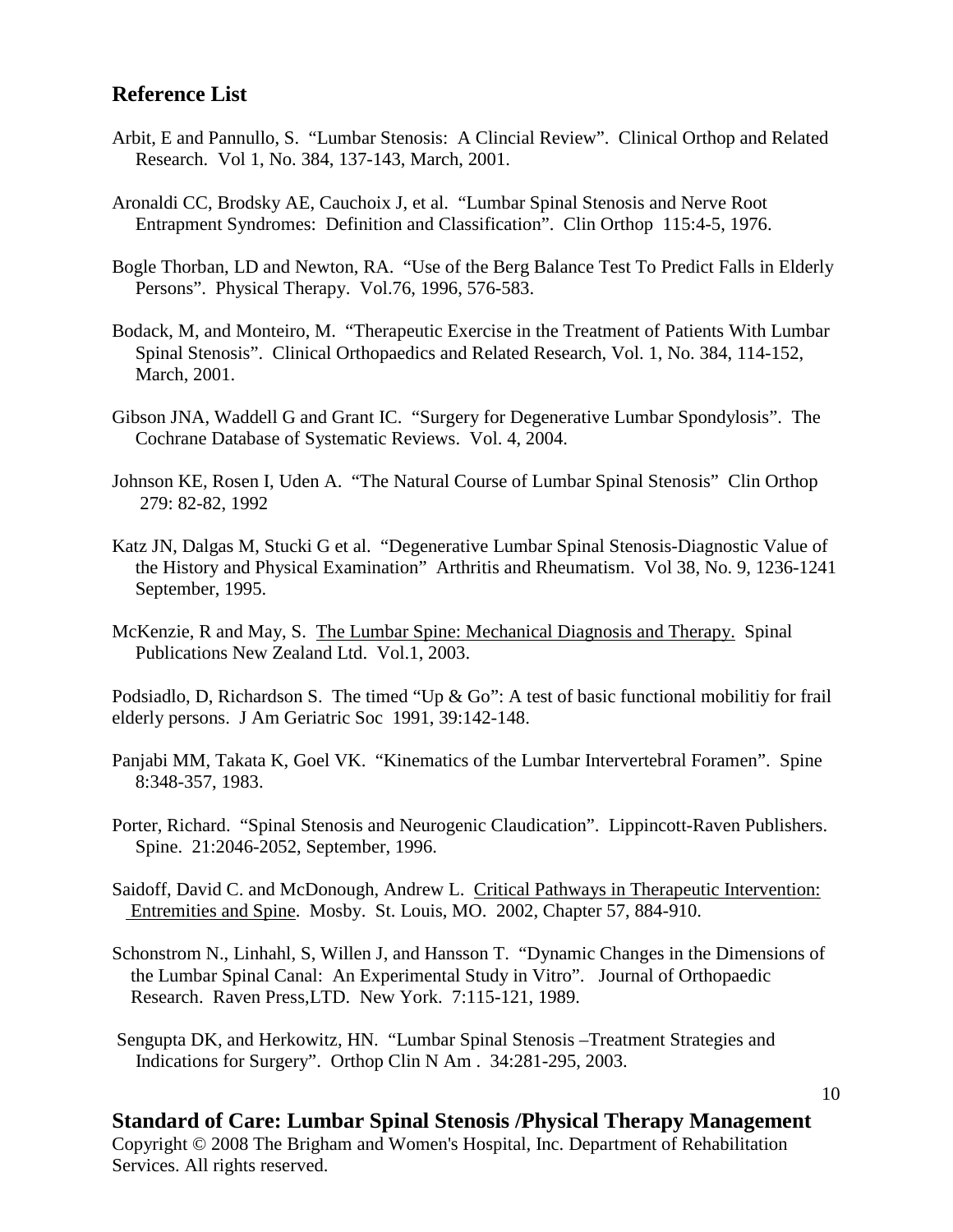# **Reference List**

- Arbit, E and Pannullo, S. "Lumbar Stenosis: A Clincial Review". Clinical Orthop and Related Research. Vol 1, No. 384, 137-143, March, 2001.
- Aronaldi CC, Brodsky AE, Cauchoix J, et al. "Lumbar Spinal Stenosis and Nerve Root Entrapment Syndromes: Definition and Classification". Clin Orthop 115:4-5, 1976.
- Bogle Thorban, LD and Newton, RA. "Use of the Berg Balance Test To Predict Falls in Elderly Persons". Physical Therapy. Vol.76, 1996, 576-583.
- Bodack, M, and Monteiro, M. "Therapeutic Exercise in the Treatment of Patients With Lumbar Spinal Stenosis". Clinical Orthopaedics and Related Research, Vol. 1, No. 384, 114-152, March, 2001.
- Gibson JNA, Waddell G and Grant IC. "Surgery for Degenerative Lumbar Spondylosis". The Cochrane Database of Systematic Reviews. Vol. 4, 2004.
- Johnson KE, Rosen I, Uden A. "The Natural Course of Lumbar Spinal Stenosis" Clin Orthop 279: 82-82, 1992
- Katz JN, Dalgas M, Stucki G et al. "Degenerative Lumbar Spinal Stenosis-Diagnostic Value of the History and Physical Examination" Arthritis and Rheumatism. Vol 38, No. 9, 1236-1241 September, 1995.
- McKenzie, R and May, S. The Lumbar Spine: Mechanical Diagnosis and Therapy. Spinal Publications New Zealand Ltd. Vol.1, 2003.

Podsiadlo, D, Richardson S. The timed "Up & Go": A test of basic functional mobilitiy for frail elderly persons. J Am Geriatric Soc 1991, 39:142-148.

- Panjabi MM, Takata K, Goel VK. "Kinematics of the Lumbar Intervertebral Foramen". Spine 8:348-357, 1983.
- Porter, Richard. "Spinal Stenosis and Neurogenic Claudication". Lippincott-Raven Publishers. Spine. 21:2046-2052, September, 1996.
- Saidoff, David C. and McDonough, Andrew L. Critical Pathways in Therapeutic Intervention: Entremities and Spine. Mosby. St. Louis, MO. 2002, Chapter 57, 884-910.
- Schonstrom N., Linhahl, S, Willen J, and Hansson T. "Dynamic Changes in the Dimensions of the Lumbar Spinal Canal: An Experimental Study in Vitro". Journal of Orthopaedic Research. Raven Press,LTD. New York. 7:115-121, 1989.
- Sengupta DK, and Herkowitz, HN. "Lumbar Spinal Stenosis –Treatment Strategies and Indications for Surgery". Orthop Clin N Am . 34:281-295, 2003.

**Standard of Care: Lumbar Spinal Stenosis /Physical Therapy Management** Copyright © 2008 The Brigham and Women's Hospital, Inc. Department of Rehabilitation Services. All rights reserved.